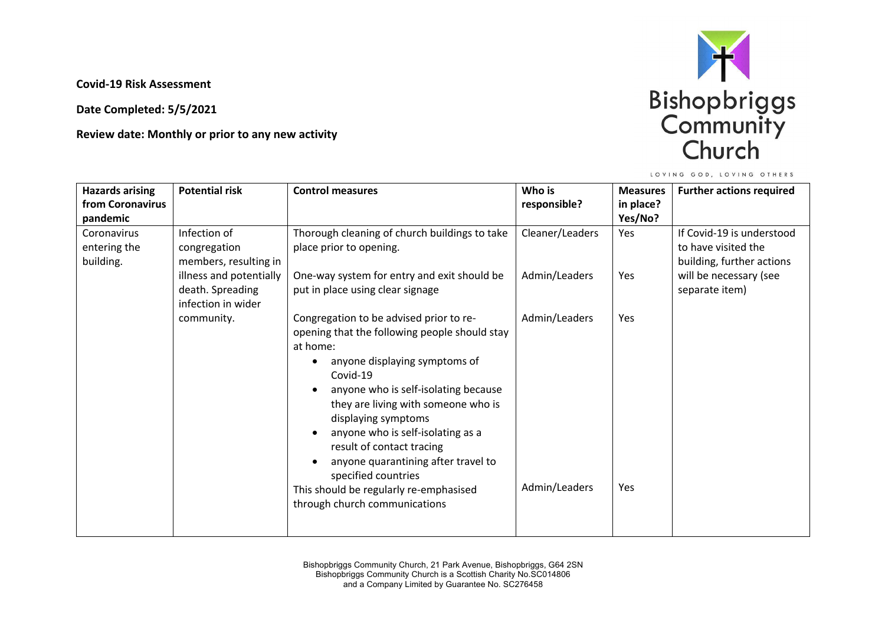**Covid-19 Risk Assessment**

**Date Completed: 5/5/2021**

**Review date: Monthly or prior to any new activity** 



LOVING GOD, LOVING OTHERS

| <b>Hazards arising</b> | <b>Potential risk</b>   | <b>Control measures</b>                       | Who is          | <b>Measures</b> | <b>Further actions required</b> |
|------------------------|-------------------------|-----------------------------------------------|-----------------|-----------------|---------------------------------|
| from Coronavirus       |                         |                                               | responsible?    | in place?       |                                 |
| pandemic               |                         |                                               |                 | Yes/No?         |                                 |
| Coronavirus            | Infection of            | Thorough cleaning of church buildings to take | Cleaner/Leaders | Yes             | If Covid-19 is understood       |
| entering the           | congregation            | place prior to opening.                       |                 |                 | to have visited the             |
| building.              | members, resulting in   |                                               |                 |                 | building, further actions       |
|                        | illness and potentially | One-way system for entry and exit should be   | Admin/Leaders   | Yes             | will be necessary (see          |
|                        | death. Spreading        | put in place using clear signage              |                 |                 | separate item)                  |
|                        | infection in wider      |                                               |                 |                 |                                 |
|                        | community.              | Congregation to be advised prior to re-       | Admin/Leaders   | Yes             |                                 |
|                        |                         | opening that the following people should stay |                 |                 |                                 |
|                        |                         | at home:                                      |                 |                 |                                 |
|                        |                         | anyone displaying symptoms of                 |                 |                 |                                 |
|                        |                         | Covid-19                                      |                 |                 |                                 |
|                        |                         | anyone who is self-isolating because          |                 |                 |                                 |
|                        |                         | they are living with someone who is           |                 |                 |                                 |
|                        |                         | displaying symptoms                           |                 |                 |                                 |
|                        |                         | anyone who is self-isolating as a             |                 |                 |                                 |
|                        |                         | result of contact tracing                     |                 |                 |                                 |
|                        |                         | anyone quarantining after travel to           |                 |                 |                                 |
|                        |                         | specified countries                           | Admin/Leaders   | Yes             |                                 |
|                        |                         | This should be regularly re-emphasised        |                 |                 |                                 |
|                        |                         | through church communications                 |                 |                 |                                 |
|                        |                         |                                               |                 |                 |                                 |
|                        |                         |                                               |                 |                 |                                 |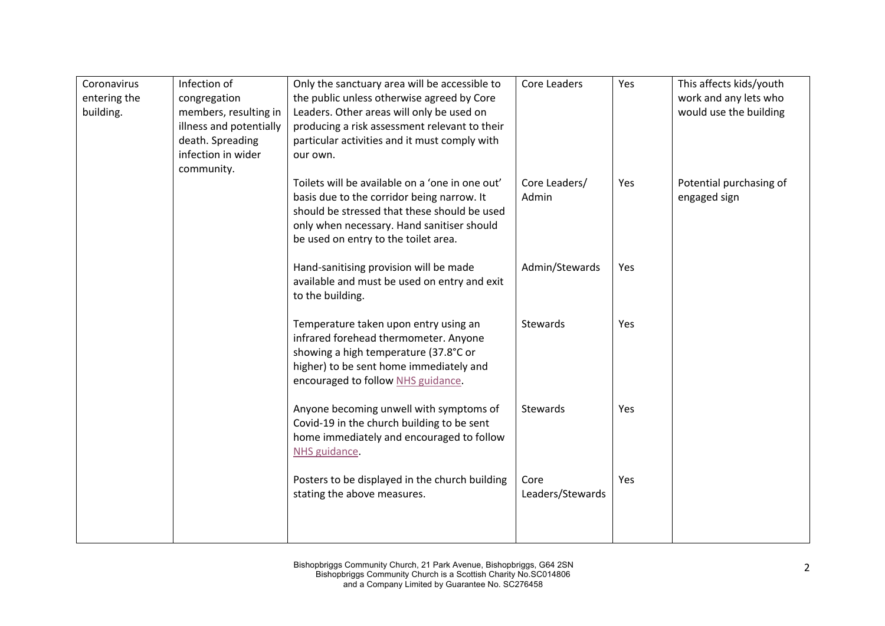| Coronavirus<br>entering the<br>building. | Infection of<br>congregation<br>members, resulting in<br>illness and potentially<br>death. Spreading<br>infection in wider<br>community. | Only the sanctuary area will be accessible to<br>the public unless otherwise agreed by Core<br>Leaders. Other areas will only be used on<br>producing a risk assessment relevant to their<br>particular activities and it must comply with<br>our own. | Core Leaders             | Yes        | This affects kids/youth<br>work and any lets who<br>would use the building |
|------------------------------------------|------------------------------------------------------------------------------------------------------------------------------------------|--------------------------------------------------------------------------------------------------------------------------------------------------------------------------------------------------------------------------------------------------------|--------------------------|------------|----------------------------------------------------------------------------|
|                                          |                                                                                                                                          | Toilets will be available on a 'one in one out'<br>basis due to the corridor being narrow. It<br>should be stressed that these should be used<br>only when necessary. Hand sanitiser should<br>be used on entry to the toilet area.                    | Core Leaders/<br>Admin   | Yes        | Potential purchasing of<br>engaged sign                                    |
|                                          |                                                                                                                                          | Hand-sanitising provision will be made<br>available and must be used on entry and exit<br>to the building.                                                                                                                                             | Admin/Stewards           | Yes        |                                                                            |
|                                          |                                                                                                                                          | Temperature taken upon entry using an<br>infrared forehead thermometer. Anyone<br>showing a high temperature (37.8°C or<br>higher) to be sent home immediately and<br>encouraged to follow NHS guidance.                                               | Stewards                 | Yes        |                                                                            |
|                                          |                                                                                                                                          | Anyone becoming unwell with symptoms of<br>Covid-19 in the church building to be sent<br>home immediately and encouraged to follow<br>NHS guidance.                                                                                                    | Stewards                 | <b>Yes</b> |                                                                            |
|                                          |                                                                                                                                          | Posters to be displayed in the church building<br>stating the above measures.                                                                                                                                                                          | Core<br>Leaders/Stewards | Yes        |                                                                            |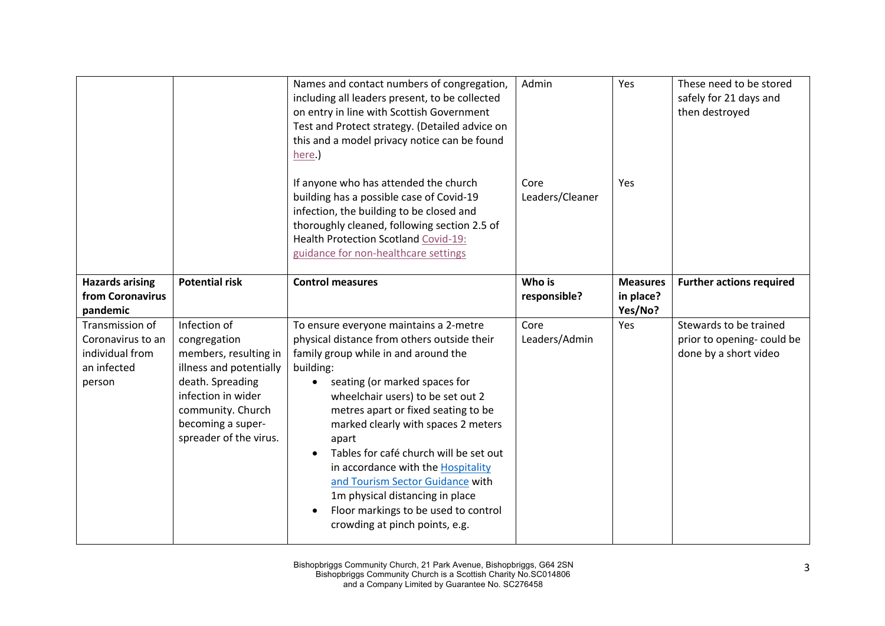|                                                                                  |                                                                                                                                                                                                | Names and contact numbers of congregation,<br>including all leaders present, to be collected<br>on entry in line with Scottish Government<br>Test and Protect strategy. (Detailed advice on<br>this and a model privacy notice can be found<br>here.)                                                                                                                                                                                                                                                                                                              | Admin                   | Yes                                     | These need to be stored<br>safely for 21 days and<br>then destroyed           |
|----------------------------------------------------------------------------------|------------------------------------------------------------------------------------------------------------------------------------------------------------------------------------------------|--------------------------------------------------------------------------------------------------------------------------------------------------------------------------------------------------------------------------------------------------------------------------------------------------------------------------------------------------------------------------------------------------------------------------------------------------------------------------------------------------------------------------------------------------------------------|-------------------------|-----------------------------------------|-------------------------------------------------------------------------------|
|                                                                                  |                                                                                                                                                                                                | If anyone who has attended the church<br>building has a possible case of Covid-19<br>infection, the building to be closed and<br>thoroughly cleaned, following section 2.5 of<br>Health Protection Scotland Covid-19:<br>guidance for non-healthcare settings                                                                                                                                                                                                                                                                                                      | Core<br>Leaders/Cleaner | Yes                                     |                                                                               |
| <b>Hazards arising</b><br>from Coronavirus<br>pandemic                           | <b>Potential risk</b>                                                                                                                                                                          | <b>Control measures</b>                                                                                                                                                                                                                                                                                                                                                                                                                                                                                                                                            | Who is<br>responsible?  | <b>Measures</b><br>in place?<br>Yes/No? | <b>Further actions required</b>                                               |
| Transmission of<br>Coronavirus to an<br>individual from<br>an infected<br>person | Infection of<br>congregation<br>members, resulting in<br>illness and potentially<br>death. Spreading<br>infection in wider<br>community. Church<br>becoming a super-<br>spreader of the virus. | To ensure everyone maintains a 2-metre<br>physical distance from others outside their<br>family group while in and around the<br>building:<br>seating (or marked spaces for<br>wheelchair users) to be set out 2<br>metres apart or fixed seating to be<br>marked clearly with spaces 2 meters<br>apart<br>Tables for café church will be set out<br>$\bullet$<br>in accordance with the Hospitality<br>and Tourism Sector Guidance with<br>1m physical distancing in place<br>Floor markings to be used to control<br>$\bullet$<br>crowding at pinch points, e.g. | Core<br>Leaders/Admin   | Yes                                     | Stewards to be trained<br>prior to opening- could be<br>done by a short video |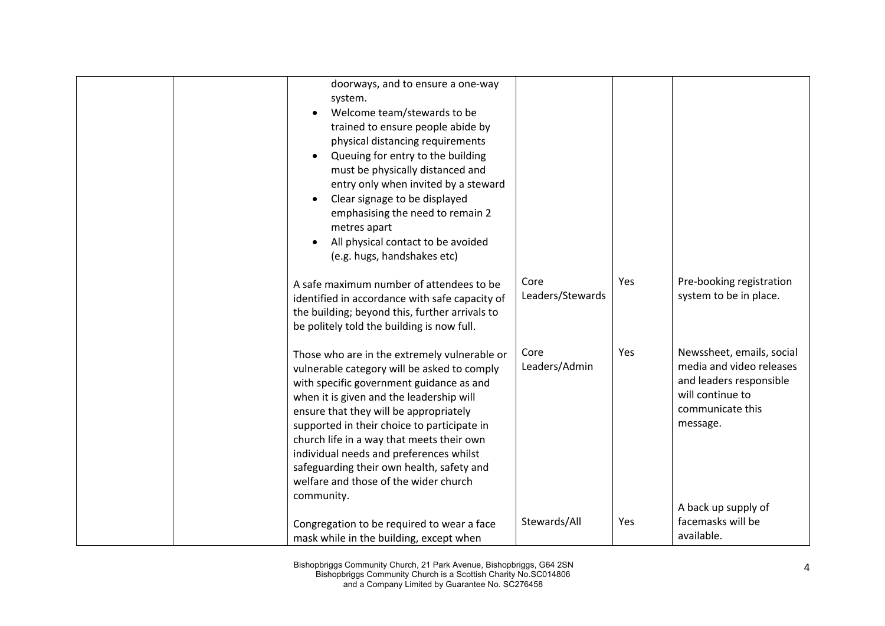|  | doorways, and to ensure a one-way<br>system.<br>Welcome team/stewards to be<br>trained to ensure people abide by<br>physical distancing requirements<br>Queuing for entry to the building<br>must be physically distanced and<br>entry only when invited by a steward<br>Clear signage to be displayed<br>emphasising the need to remain 2<br>metres apart<br>All physical contact to be avoided<br>(e.g. hugs, handshakes etc)                                          |                          |     |                                                                                                                                      |
|--|--------------------------------------------------------------------------------------------------------------------------------------------------------------------------------------------------------------------------------------------------------------------------------------------------------------------------------------------------------------------------------------------------------------------------------------------------------------------------|--------------------------|-----|--------------------------------------------------------------------------------------------------------------------------------------|
|  | A safe maximum number of attendees to be<br>identified in accordance with safe capacity of<br>the building; beyond this, further arrivals to<br>be politely told the building is now full.                                                                                                                                                                                                                                                                               | Core<br>Leaders/Stewards | Yes | Pre-booking registration<br>system to be in place.                                                                                   |
|  | Those who are in the extremely vulnerable or<br>vulnerable category will be asked to comply<br>with specific government guidance as and<br>when it is given and the leadership will<br>ensure that they will be appropriately<br>supported in their choice to participate in<br>church life in a way that meets their own<br>individual needs and preferences whilst<br>safeguarding their own health, safety and<br>welfare and those of the wider church<br>community. | Core<br>Leaders/Admin    | Yes | Newssheet, emails, social<br>media and video releases<br>and leaders responsible<br>will continue to<br>communicate this<br>message. |
|  | Congregation to be required to wear a face<br>mask while in the building, except when                                                                                                                                                                                                                                                                                                                                                                                    | Stewards/All             | Yes | A back up supply of<br>facemasks will be<br>available.                                                                               |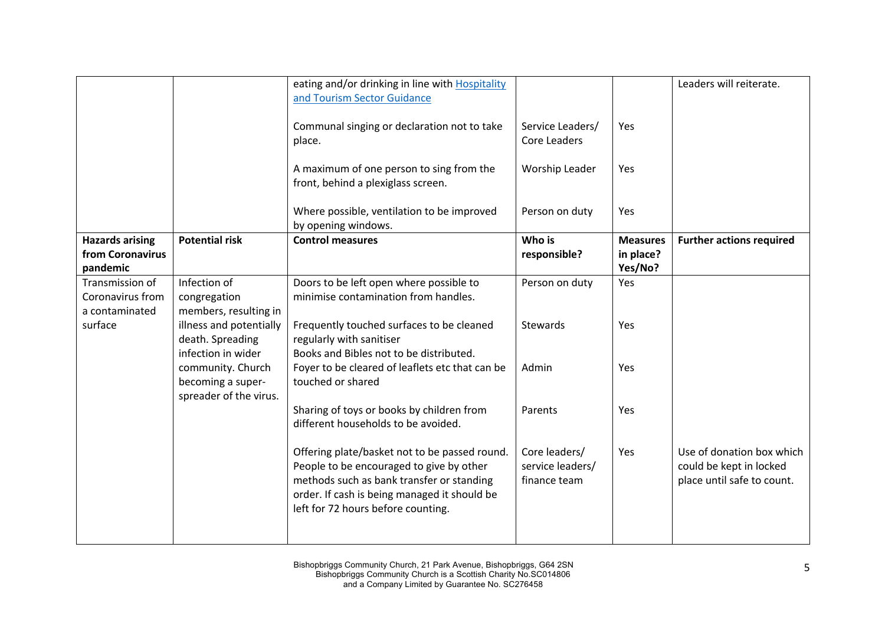|                                                        |                                                                   | eating and/or drinking in line with Hospitality<br>and Tourism Sector Guidance                                                                                                                                               |                                                   |                                         | Leaders will reiterate.                                                            |
|--------------------------------------------------------|-------------------------------------------------------------------|------------------------------------------------------------------------------------------------------------------------------------------------------------------------------------------------------------------------------|---------------------------------------------------|-----------------------------------------|------------------------------------------------------------------------------------|
|                                                        |                                                                   | Communal singing or declaration not to take<br>place.                                                                                                                                                                        | Service Leaders/<br>Core Leaders                  | Yes                                     |                                                                                    |
|                                                        |                                                                   | A maximum of one person to sing from the<br>front, behind a plexiglass screen.                                                                                                                                               | Worship Leader                                    | Yes                                     |                                                                                    |
|                                                        |                                                                   | Where possible, ventilation to be improved<br>by opening windows.                                                                                                                                                            | Person on duty                                    | Yes                                     |                                                                                    |
| <b>Hazards arising</b><br>from Coronavirus<br>pandemic | <b>Potential risk</b>                                             | <b>Control measures</b>                                                                                                                                                                                                      | Who is<br>responsible?                            | <b>Measures</b><br>in place?<br>Yes/No? | <b>Further actions required</b>                                                    |
| Transmission of<br>Coronavirus from<br>a contaminated  | Infection of<br>congregation<br>members, resulting in             | Doors to be left open where possible to<br>minimise contamination from handles.                                                                                                                                              | Person on duty                                    | Yes                                     |                                                                                    |
| surface                                                | illness and potentially<br>death. Spreading<br>infection in wider | Frequently touched surfaces to be cleaned<br>regularly with sanitiser<br>Books and Bibles not to be distributed.                                                                                                             | Stewards                                          | Yes                                     |                                                                                    |
|                                                        | community. Church<br>becoming a super-<br>spreader of the virus.  | Foyer to be cleared of leaflets etc that can be<br>touched or shared                                                                                                                                                         | Admin                                             | Yes                                     |                                                                                    |
|                                                        |                                                                   | Sharing of toys or books by children from<br>different households to be avoided.                                                                                                                                             | Parents                                           | Yes                                     |                                                                                    |
|                                                        |                                                                   | Offering plate/basket not to be passed round.<br>People to be encouraged to give by other<br>methods such as bank transfer or standing<br>order. If cash is being managed it should be<br>left for 72 hours before counting. | Core leaders/<br>service leaders/<br>finance team | Yes                                     | Use of donation box which<br>could be kept in locked<br>place until safe to count. |